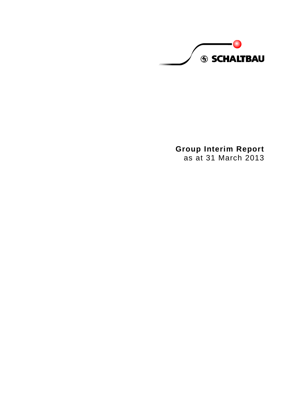**S SCHALTBAU** 

**Group Interim Report** as at 31 March 2013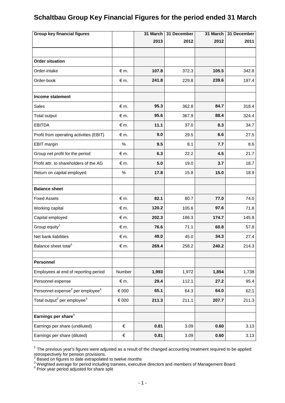# **Schaltbau Group Key Financial Figures for the period ended 31 March**

| <b>Group key financial figures</b>                       |                | 31 March | 31 December | 31 March | 31 December |
|----------------------------------------------------------|----------------|----------|-------------|----------|-------------|
|                                                          |                | 2013     | 2012        | 2012     | 2011        |
|                                                          |                |          |             |          |             |
| <b>Order situation</b>                                   |                |          |             |          |             |
| Order-intake                                             | $\notin$ m.    | 107.8    | 372.3       | 105.5    | 342.8       |
| Order-book                                               | $\notin$ m.    | 241.8    | 229.8       | 239.6    | 197.4       |
|                                                          |                |          |             |          |             |
| Income statement                                         |                |          |             |          |             |
| <b>Sales</b>                                             | $\notin$ m.    | 95.3     | 362.8       | 84.7     | 318.4       |
| <b>Total output</b>                                      | $\notin$ m.    | 95.6     | 367.9       | 88.4     | 324.4       |
| <b>EBITDA</b>                                            | $\notin$ m.    | 11.1     | 37.0        | 8.3      | 34.7        |
| Profit from operating activities (EBIT)                  | $\notin$ m.    | 9.0      | 29.5        | 6.6      | 27.5        |
| <b>EBIT</b> margin                                       | $\%$           | 9.5      | 8.1         | 7.7      | 8.6         |
| Group net profit for the period                          | $\notin$ m.    | 6.3      | 22.2        | 4.5      | 21.7        |
| Profit attr. to shareholders of the AG                   | $\notin$ m.    | 5.0      | 19.0        | 3.7      | 18.7        |
| Return on capital employed                               | $\%$           | 17.8     | 15.8        | 15.0     | 18.9        |
|                                                          |                |          |             |          |             |
| <b>Balance sheet</b>                                     |                |          |             |          |             |
| <b>Fixed Assets</b>                                      | $\notin$ m.    | 82.1     | 80.7        | 77.0     | 74.0        |
| Working capital                                          | $\notin$ m.    | 120.2    | 105.6       | 97.6     | 71.8        |
| Capital employed                                         | $\notin$ m.    | 202.3    | 186.3       | 174.7    | 145.8       |
| Group equity <sup>1</sup>                                | $\notin$ m.    | 76.6     | 71.1        | 60.8     | 57.8        |
| Net bank liabilities                                     | € m.           | 49.0     | 45.0        | 34.3     | 27.4        |
| Balance sheet total <sup>1</sup>                         | € m.           | 269.4    | 258.2       | 240.2    | 214.3       |
|                                                          |                |          |             |          |             |
| Personnel                                                |                |          |             |          |             |
| Employees at end of reporting period                     | Number         | 1,993    | 1,972       | 1,854    | 1,738       |
| Personnel expense                                        | $\notin$ m.    | 29.4     | 112.1       | 27.2     | 95.4        |
| Personnel expense <sup>2</sup> per employee <sup>3</sup> | $\epsilon$ 000 | 65.1     | 64.3        | 64.0     | 62.1        |
| Total output <sup>2</sup> per employee <sup>3</sup>      | $\in$ 000      | 211.3    | 211.1       | 207.7    | 211.3       |
|                                                          |                |          |             |          |             |
| Earnings per share <sup>4</sup>                          |                |          |             |          |             |
| Earnings per share (undiluted)                           | €              | 0.81     | 3.09        | 0.60     | 3.13        |
| Earnings per share (diluted)                             | $\in$          | 0.81     | 3.09        | 0.60     | 3.13        |

 $1$  The previous year's figures were adjusted as a result of the changed accounting treatment required to be applied

 $^3$  Weighted average for period including trainees, executive directors and members of Management Board<br><sup>4</sup> Prior year period adjusted for share split

retrospectively for pension provisions.<br><sup>2</sup> Based on figures to date extrapolated to twelve months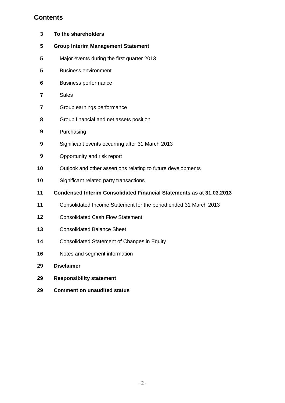# **Contents**

| 3  | To the shareholders                                                         |
|----|-----------------------------------------------------------------------------|
| 5  | <b>Group Interim Management Statement</b>                                   |
| 5  | Major events during the first quarter 2013                                  |
| 5  | <b>Business environment</b>                                                 |
| 6  | <b>Business performance</b>                                                 |
| 7  | <b>Sales</b>                                                                |
| 7  | Group earnings performance                                                  |
| 8  | Group financial and net assets position                                     |
| 9  | Purchasing                                                                  |
| 9  | Significant events occurring after 31 March 2013                            |
| 9  | Opportunity and risk report                                                 |
| 10 | Outlook and other assertions relating to future developments                |
| 10 | Significant related party transactions                                      |
| 11 | <b>Condensed Interim Consolidated Financial Statements as at 31.03.2013</b> |
| 11 | Consolidated Income Statement for the period ended 31 March 2013            |
| 12 | <b>Consolidated Cash Flow Statement</b>                                     |
| 13 | <b>Consolidated Balance Sheet</b>                                           |
| 14 | <b>Consolidated Statement of Changes in Equity</b>                          |
| 16 | Notes and segment information                                               |
| 29 | <b>Disclaimer</b>                                                           |
| 29 | <b>Responsibility statement</b>                                             |
| 29 | <b>Comment on unaudited status</b>                                          |
|    |                                                                             |
|    |                                                                             |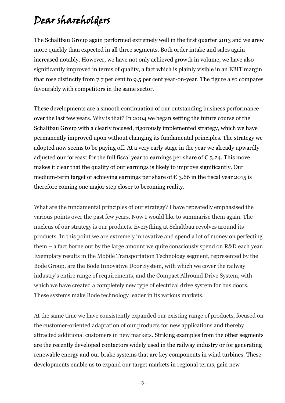# Dear shareholders

The Schaltbau Group again performed extremely well in the first quarter 2013 and we grew more quickly than expected in all three segments. Both order intake and sales again increased notably. However, we have not only achieved growth in volume, we have also significantly improved in terms of quality, a fact which is plainly visible in an EBIT margin that rose distinctly from 7.7 per cent to 9.5 per cent year-on-year. The figure also compares favourably with competitors in the same sector.

These developments are a smooth continuation of our outstanding business performance over the last few years. Why is that? In 2004 we began setting the future course of the Schaltbau Group with a clearly focused, rigorously implemented strategy, which we have permanently improved upon without changing its fundamental principles. The strategy we adopted now seems to be paying off. At a very early stage in the year we already upwardly adjusted our forecast for the full fiscal year to earnings per share of  $\epsilon$  3.24. This move makes it clear that the quality of our earnings is likely to improve significantly. Our medium-term target of achieving earnings per share of  $\epsilon$  3.66 in the fiscal year 2015 is therefore coming one major step closer to becoming reality.

What are the fundamental principles of our strategy? I have repeatedly emphasised the various points over the past few years. Now I would like to summarise them again. The nucleus of our strategy is our products. Everything at Schaltbau revolves around its products. In this point we are extremely innovative and spend a lot of money on perfecting them – a fact borne out by the large amount we quite consciously spend on R&D each year. Exemplary results in the Mobile Transportation Technology segment, represented by the Bode Group, are the Bode Innovative Door System, with which we cover the railway industry's entire range of requirements, and the Compact Allround Drive System, with which we have created a completely new type of electrical drive system for bus doors. These systems make Bode technology leader in its various markets.

At the same time we have consistently expanded our existing range of products, focused on the customer-oriented adaptation of our products for new applications and thereby attracted additional customers in new markets. Striking examples from the other segments are the recently developed contactors widely used in the railway industry or for generating renewable energy and our brake systems that are key components in wind turbines. These developments enable us to expand our target markets in regional terms, gain new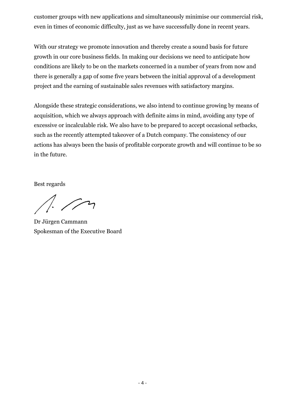customer groups with new applications and simultaneously minimise our commercial risk, even in times of economic difficulty, just as we have successfully done in recent years.

With our strategy we promote innovation and thereby create a sound basis for future growth in our core business fields. In making our decisions we need to anticipate how conditions are likely to be on the markets concerned in a number of years from now and there is generally a gap of some five years between the initial approval of a development project and the earning of sustainable sales revenues with satisfactory margins.

Alongside these strategic considerations, we also intend to continue growing by means of acquisition, which we always approach with definite aims in mind, avoiding any type of excessive or incalculable risk. We also have to be prepared to accept occasional setbacks, such as the recently attempted takeover of a Dutch company. The consistency of our actions has always been the basis of profitable corporate growth and will continue to be so in the future.

Best regards

Dr Jürgen Cammann Spokesman of the Executive Board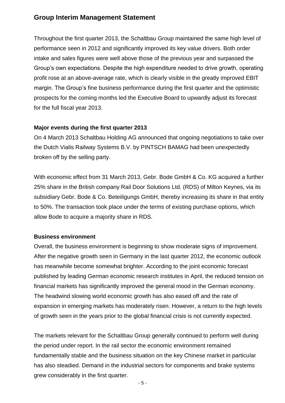# **Group Interim Management Statement**

Throughout the first quarter 2013, the Schaltbau Group maintained the same high level of performance seen in 2012 and significantly improved its key value drivers. Both order intake and sales figures were well above those of the previous year and surpassed the Group's own expectations. Despite the high expenditure needed to drive growth, operating profit rose at an above-average rate, which is clearly visible in the greatly improved EBIT margin. The Group's fine business performance during the first quarter and the optimistic prospects for the coming months led the Executive Board to upwardly adjust its forecast for the full fiscal year 2013.

# **Major events during the first quarter 2013**

On 4 March 2013 Schaltbau Holding AG announced that ongoing negotiations to take over the Dutch Vialis Railway Systems B.V. by PINTSCH BAMAG had been unexpectedly broken off by the selling party.

With economic effect from 31 March 2013, Gebr. Bode GmbH & Co. KG acquired a further 25% share in the British company Rail Door Solutions Ltd. (RDS) of Milton Keynes, via its subsidiary Gebr. Bode & Co. Beteiligungs GmbH, thereby increasing its share in that entity to 50%. The transaction took place under the terms of existing purchase options, which allow Bode to acquire a majority share in RDS.

# **Business environment**

Overall, the business environment is beginning to show moderate signs of improvement. After the negative growth seen in Germany in the last quarter 2012, the economic outlook has meanwhile become somewhat brighter. According to the joint economic forecast published by leading German economic research institutes in April, the reduced tension on financial markets has significantly improved the general mood in the German economy. The headwind slowing world economic growth has also eased off and the rate of expansion in emerging markets has moderately risen. However, a return to the high levels of growth seen in the years prior to the global financial crisis is not currently expected.

The markets relevant for the Schaltbau Group generally continued to perform well during the period under report. In the rail sector the economic environment remained fundamentally stable and the business situation on the key Chinese market in particular has also steadied. Demand in the industrial sectors for components and brake systems grew considerably in the first quarter.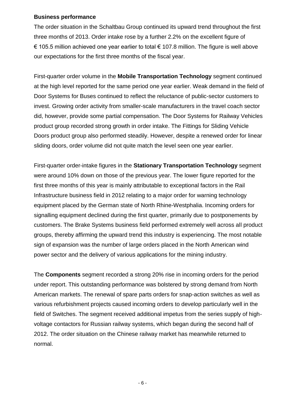#### **Business performance**

The order situation in the Schaltbau Group continued its upward trend throughout the first three months of 2013. Order intake rose by a further 2.2% on the excellent figure of € 105.5 million achieved one year earlier to total  $∈$  107.8 million. The figure is well above our expectations for the first three months of the fiscal year.

First-quarter order volume in the **Mobile Transportation Technology** segment continued at the high level reported for the same period one year earlier. Weak demand in the field of Door Systems for Buses continued to reflect the reluctance of public-sector customers to invest. Growing order activity from smaller-scale manufacturers in the travel coach sector did, however, provide some partial compensation. The Door Systems for Railway Vehicles product group recorded strong growth in order intake. The Fittings for Sliding Vehicle Doors product group also performed steadily. However, despite a renewed order for linear sliding doors, order volume did not quite match the level seen one year earlier.

First-quarter order-intake figures in the **Stationary Transportation Technology** segment were around 10% down on those of the previous year. The lower figure reported for the first three months of this year is mainly attributable to exceptional factors in the Rail Infrastructure business field in 2012 relating to a major order for warning technology equipment placed by the German state of North Rhine-Westphalia. Incoming orders for signalling equipment declined during the first quarter, primarily due to postponements by customers. The Brake Systems business field performed extremely well across all product groups, thereby affirming the upward trend this industry is experiencing. The most notable sign of expansion was the number of large orders placed in the North American wind power sector and the delivery of various applications for the mining industry.

The **Components** segment recorded a strong 20% rise in incoming orders for the period under report. This outstanding performance was bolstered by strong demand from North American markets. The renewal of spare parts orders for snap-action switches as well as various refurbishment projects caused incoming orders to develop particularly well in the field of Switches. The segment received additional impetus from the series supply of highvoltage contactors for Russian railway systems, which began during the second half of 2012. The order situation on the Chinese railway market has meanwhile returned to normal.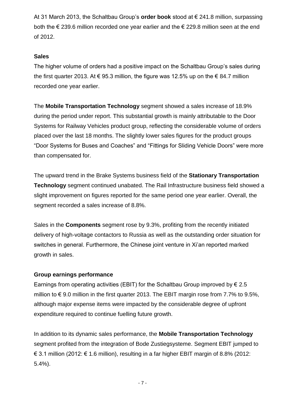At 31 March 2013, the Schaltbau Group's **order book** stood at € 241.8 million, surpassing both the  $\epsilon$  239.6 million recorded one year earlier and the  $\epsilon$  229.8 million seen at the end of 2012.

# **Sales**

The higher volume of orders had a positive impact on the Schaltbau Group's sales during the first quarter 2013. At  $\epsilon$  95.3 million, the figure was 12.5% up on the  $\epsilon$  84.7 million recorded one year earlier.

The **Mobile Transportation Technology** segment showed a sales increase of 18.9% during the period under report. This substantial growth is mainly attributable to the Door Systems for Railway Vehicles product group, reflecting the considerable volume of orders placed over the last 18 months. The slightly lower sales figures for the product groups "Door Systems for Buses and Coaches" and "Fittings for Sliding Vehicle Doors" were more than compensated for.

The upward trend in the Brake Systems business field of the **Stationary Transportation Technology** segment continued unabated. The Rail Infrastructure business field showed a slight improvement on figures reported for the same period one year earlier. Overall, the segment recorded a sales increase of 8.8%.

Sales in the **Components** segment rose by 9.3%, profiting from the recently initiated delivery of high-voltage contactors to Russia as well as the outstanding order situation for switches in general. Furthermore, the Chinese joint venture in Xi'an reported marked growth in sales.

# **Group earnings performance**

Earnings from operating activities (EBIT) for the Schaltbau Group improved by  $\epsilon$  2.5 million to  $\epsilon$  9.0 million in the first quarter 2013. The EBIT margin rose from 7.7% to 9.5%, although major expense items were impacted by the considerable degree of upfront expenditure required to continue fuelling future growth.

In addition to its dynamic sales performance, the **Mobile Transportation Technology** segment profited from the integration of Bode Zustiegsysteme. Segment EBIT jumped to € 3.1 million (2012: € 1.6 million), resulting in a far higher EBIT margin of 8.8% (2012: 5.4%).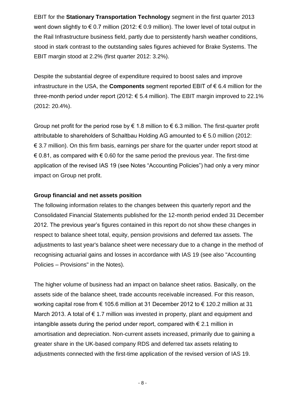EBIT for the **Stationary Transportation Technology** segment in the first quarter 2013 went down slightly to  $\epsilon$  0.7 million (2012:  $\epsilon$  0.9 million). The lower level of total output in the Rail Infrastructure business field, partly due to persistently harsh weather conditions, stood in stark contrast to the outstanding sales figures achieved for Brake Systems. The EBIT margin stood at 2.2% (first quarter 2012: 3.2%).

Despite the substantial degree of expenditure required to boost sales and improve infrastructure in the USA, the **Components** segment reported EBIT of € 6.4 million for the three-month period under report (2012:  $\epsilon$  5.4 million). The EBIT margin improved to 22.1% (2012: 20.4%).

Group net profit for the period rose by  $\epsilon$  1.8 million to  $\epsilon$  6.3 million. The first-quarter profit attributable to shareholders of Schaltbau Holding AG amounted to € 5.0 million (2012: € 3.7 million). On this firm basis, earnings per share for the quarter under report stood at  $\epsilon$  0.81, as compared with  $\epsilon$  0.60 for the same period the previous year. The first-time application of the revised IAS 19 (see Notes "Accounting Policies") had only a very minor impact on Group net profit.

# **Group financial and net assets position**

The following information relates to the changes between this quarterly report and the Consolidated Financial Statements published for the 12-month period ended 31 December 2012. The previous year's figures contained in this report do not show these changes in respect to balance sheet total, equity, pension provisions and deferred tax assets. The adjustments to last year's balance sheet were necessary due to a change in the method of recognising actuarial gains and losses in accordance with IAS 19 (see also "Accounting Policies – Provisions" in the Notes).

The higher volume of business had an impact on balance sheet ratios. Basically, on the assets side of the balance sheet, trade accounts receivable increased. For this reason, working capital rose from € 105.6 million at 31 December 2012 to € 120.2 million at 31 March 2013. A total of  $\epsilon$  1.7 million was invested in property, plant and equipment and intangible assets during the period under report, compared with  $\epsilon$  2.1 million in amortisation and depreciation. Non-current assets increased, primarily due to gaining a greater share in the UK-based company RDS and deferred tax assets relating to adjustments connected with the first-time application of the revised version of IAS 19.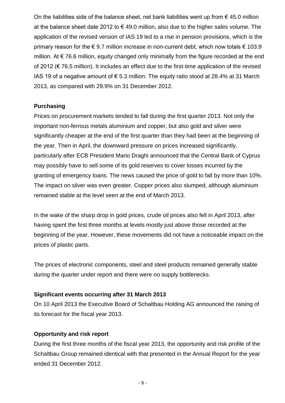On the liabilities side of the balance sheet, net bank liabilities went up from  $\epsilon$  45.0 million at the balance sheet date 2012 to  $\epsilon$  49.0 million, also due to the higher sales volume. The application of the revised version of IAS 19 led to a rise in pension provisions, which is the primary reason for the  $\epsilon$  9.7 million increase in non-current debt, which now totals  $\epsilon$  103.9 million. At  $\epsilon$  76.6 million, equity changed only minimally from the figure recorded at the end of 2012 (€ 76.5 million). It includes an effect due to the first-time application of the revised IAS 19 of a negative amount of € 5.3 million. The equity ratio stood at 28.4% at 31 March 2013, as compared with 29.9% on 31 December 2012.

# **Purchasing**

Prices on procurement markets tended to fall during the first quarter 2013. Not only the important non-ferrous metals aluminium and copper, but also gold and silver were significantly cheaper at the end of the first quarter than they had been at the beginning of the year. Then in April, the downward pressure on prices increased significantly, particularly after ECB President Mario Draghi announced that the Central Bank of Cyprus may possibly have to sell some of its gold reserves to cover losses incurred by the granting of emergency loans. The news caused the price of gold to fall by more than 10%. The impact on silver was even greater. Copper prices also slumped, although aluminium remained stable at the level seen at the end of March 2013.

In the wake of the sharp drop in gold prices, crude oil prices also fell in April 2013, after having spent the first three months at levels mostly just above those recorded at the beginning of the year. However, these movements did not have a noticeable impact on the prices of plastic parts.

The prices of electronic components, steel and steel products remained generally stable during the quarter under report and there were no supply bottlenecks.

# **Significant events occurring after 31 March 2013**

On 10 April 2013 the Executive Board of Schaltbau Holding AG announced the raising of its forecast for the fiscal year 2013.

# **Opportunity and risk report**

During the first three months of the fiscal year 2013, the opportunity and risk profile of the Schaltbau Group remained identical with that presented in the Annual Report for the year ended 31 December 2012.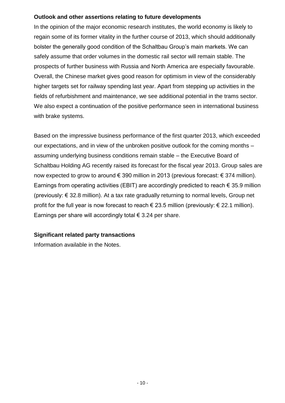# **Outlook and other assertions relating to future developments**

In the opinion of the major economic research institutes, the world economy is likely to regain some of its former vitality in the further course of 2013, which should additionally bolster the generally good condition of the Schaltbau Group's main markets. We can safely assume that order volumes in the domestic rail sector will remain stable. The prospects of further business with Russia and North America are especially favourable. Overall, the Chinese market gives good reason for optimism in view of the considerably higher targets set for railway spending last year. Apart from stepping up activities in the fields of refurbishment and maintenance, we see additional potential in the trams sector. We also expect a continuation of the positive performance seen in international business with brake systems.

Based on the impressive business performance of the first quarter 2013, which exceeded our expectations, and in view of the unbroken positive outlook for the coming months – assuming underlying business conditions remain stable – the Executive Board of Schaltbau Holding AG recently raised its forecast for the fiscal year 2013. Group sales are now expected to grow to around € 390 million in 2013 (previous forecast: € 374 million). Earnings from operating activities (EBIT) are accordingly predicted to reach  $\epsilon$  35.9 million (previously: € 32.8 million). At a tax rate gradually returning to normal levels, Group net profit for the full year is now forecast to reach  $\epsilon$  23.5 million (previously:  $\epsilon$  22.1 million). Earnings per share will accordingly total  $\epsilon$  3.24 per share.

# **Significant related party transactions**

Information available in the Notes.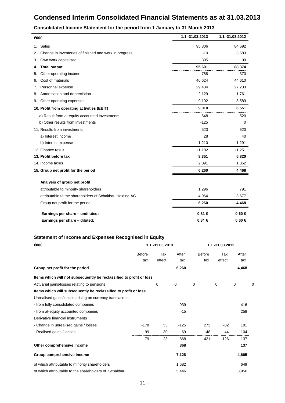# **Condensed Interim Consolidated Financial Statements as at 31.03.2013**

| €000                                                         | 1.1.-31.03.2013 | 1.1.-31.03.2012 |
|--------------------------------------------------------------|-----------------|-----------------|
| Sales<br>1.                                                  | 95,306          | 84,692          |
| Change in inventories of finished and work in progress<br>2. | $-10$           | 3,583           |
| Own work capitalised<br>3.                                   | 305             | 99              |
| <b>Total output</b><br>4.                                    | 95,601          | 88,374          |
| Other operating income<br>5.                                 | 788             | 370             |
| Cost of materials<br>6.                                      | 46,624          | 44,610          |
| Personnel expense<br>7.                                      | 29,434          | 27,233          |
| Amortisation and depreciation<br>8.                          | 2,129           | 1,761           |
| Other operating expenses<br>9.                               | 9,192           | 8,589           |
| 10. Profit from operating activities (EBIT)                  | 9,010           | 6,551           |
| a) Result from at-equity accounted investments               | 648             | 520             |
| b) Other results from investments                            | $-125$          | 0               |
| 11. Results from investments                                 | 523             | 520             |
| a) Interest income                                           | 28              | 40              |
| b) Interest expense                                          | 1,210           | 1,291           |
| 12. Finance result                                           | $-1,182$        | $-1,251$        |
| 13. Profit before tax                                        | 8,351           | 5,820           |
| 14. Income taxes                                             | 2,091           | 1,352           |
| 15. Group net profit for the period                          | 6,260           | 4,468           |
| Analysis of group net profit                                 |                 |                 |
| attributable to minority shareholders                        | 1,296           | 791             |
| attributable to the shareholders of Schaltbau Holding AG     | 4,964           | 3,677           |
| Group net profit for the period                              | 6,260           | 4,468           |
| Earnings per share - undiluted:                              | 0.81€           | 0.60€           |
| Earnings per share - diluted:                                | 0.81€           | 0.60€           |

#### **Consolidated Income Statement for the period from 1 January to 31 March 2013**

# **Statement of Income and Expenses Recognised in Equity**

| €000                                                                | 1.1.-31.03.2013 |        |             | 1.1.-31.03.2012 |        |             |   |
|---------------------------------------------------------------------|-----------------|--------|-------------|-----------------|--------|-------------|---|
|                                                                     | <b>Before</b>   | Tax    | After       | Before          | Tax    | After       |   |
|                                                                     | tax             | effect | tax         | tax             | effect | tax         |   |
| Group net profit for the period                                     |                 |        | 6,260       |                 |        | 4,468       |   |
| Items which will not subsequently be reclassified to profit or loss |                 |        |             |                 |        |             |   |
| Actuarial gains/losses relating to pensions                         |                 | 0      | $\mathbf 0$ | $\mathbf 0$     | 0      | $\mathbf 0$ | C |
| Items which will subsequently be reclassified to profit or loss     |                 |        |             |                 |        |             |   |
| Unrealised gains/losses arising on currency translations            |                 |        |             |                 |        |             |   |
| - from fully consolidated companies                                 |                 |        | 939         |                 |        | -416        |   |
| - from at-equity accounted companies                                |                 |        | $-15$       |                 |        | 258         |   |
| Derivative financial instruments                                    |                 |        |             |                 |        |             |   |
| - Change in unrealised gains / losses                               | $-178$          | 53     | $-125$      | 273             | $-82$  | 191         |   |
| - Realised gains / losses                                           | 99              | $-30$  | 69          | 148             | -44    | 104         |   |
|                                                                     | $-79$           | 23     | 868         | 421             | $-126$ | 137         |   |
| Other comprehensive income                                          |                 |        | 868         |                 |        | 137         |   |
| Group comprehensive income                                          |                 |        | 7,128       |                 |        | 4,605       |   |
| of which attributable to minority shareholders                      |                 |        | 1,682       |                 |        | 649         |   |
| of which attributable to the shareholders of Schaltbau              |                 |        | 5.446       |                 |        | 3,956       |   |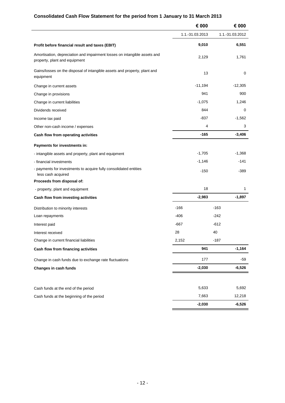# **Consolidated Cash Flow Statement for the period from 1 January to 31 March 2013**

|                                                                                                            | € 000           |        | € 000           |
|------------------------------------------------------------------------------------------------------------|-----------------|--------|-----------------|
|                                                                                                            | 1.1.-31.03.2013 |        | 1.1.-31.03.2012 |
| Profit before financial result and taxes (EBIT)                                                            | 9,010           |        | 6,551           |
| Amortisation, depreciation and impairment losses on intangible assets and<br>property, plant and equipment | 2,129           |        | 1,761           |
| Gains/losses on the disposal of intangible assets and property, plant and<br>equipment                     |                 | 13     | 0               |
| Change in current assets                                                                                   | $-11,194$       |        | $-12,305$       |
| Change in provisions                                                                                       |                 | 941    | 900             |
| Change in current liabilities                                                                              | $-1,075$        |        | 1,246           |
| Dividends received                                                                                         |                 | 844    | 0               |
| Income tax paid                                                                                            | -837            |        | $-1,562$        |
| Other non-cash income / expenses                                                                           |                 | 4      | 3               |
| Cash flow from operating activities                                                                        | $-165$          |        | $-3,406$        |
| Payments for investments in:                                                                               |                 |        |                 |
| - intangible assets and property, plant and equipment                                                      | $-1,705$        |        | $-1,368$        |
| - financial investments                                                                                    | $-1,146$        |        | $-141$          |
| - payments for investments to acquire fully consolidated entities<br>less cash acquired                    | $-150$          |        | $-389$          |
| Proceeds from disposal of:                                                                                 |                 |        |                 |
| - property, plant and equipment                                                                            |                 | 18     | 1               |
| Cash flow from investing activities                                                                        | $-2,983$        |        | $-1,897$        |
| Distribution to minority interests                                                                         | $-166$          | $-163$ |                 |
| Loan repayments                                                                                            | $-406$          | $-242$ |                 |
| Interest paid                                                                                              | $-667$          | $-612$ |                 |
| Interest received                                                                                          | 28              | 40     |                 |
| Change in current financial liabilities                                                                    | 2,152           | $-187$ |                 |
| Cash flow from financing activities                                                                        |                 | 941    | $-1,164$        |
| Change in cash funds due to exchange rate fluctuations                                                     |                 | 177    | $-59$           |
| Changes in cash funds                                                                                      | $-2,030$        |        | $-6,526$        |
| Cash funds at the end of the period                                                                        | 5,633           |        | 5,692           |
| Cash funds at the beginning of the period                                                                  | 7,663           |        | 12,218          |
|                                                                                                            | $-2,030$        |        | $-6,526$        |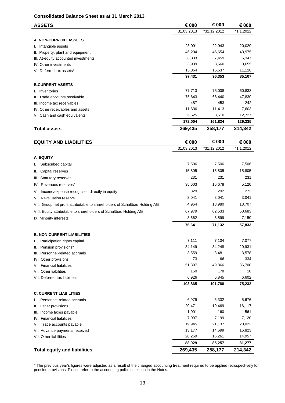#### **Consolidated Balance Sheet as at 31 March 2013**

| <b>ASSETS</b>                                                              | € 000       | € 000       | € 000        |
|----------------------------------------------------------------------------|-------------|-------------|--------------|
|                                                                            | 31.03.2013  | *31.12.2012 | *1.1.2012    |
| <b>A. NON-CURRENT ASSETS</b>                                               |             |             |              |
| I. Intangible assets                                                       | 23,091      | 22,943      | 20,020       |
| II. Property, plant and equipment                                          | 46,204      | 46,654      | 43,975       |
| III. At-equity accounted investments                                       | 8,833       | 7,459       | 6,347        |
| IV. Other investments                                                      | 3,939       | 3,660       | 3,655        |
| V. Deferred tax assets*                                                    | 15,364      | 15,637      | 11,110       |
|                                                                            | 97,431      | 96,353      | 85,107       |
| <b>B.CURRENT ASSETS</b>                                                    |             |             |              |
| I. Inventories                                                             | 77,713      | 75,008      | 60,833       |
| II. Trade accounts receivable                                              | 75,643      | 66,440      | 47,830       |
| III. Income tax receivables                                                | 487         | 453         | 242          |
| IV. Other receivables and assets                                           | 11,636      | 11,413      | 7,603        |
| V. Cash and cash equivalents                                               | 6,525       | 8,510       | 12,727       |
|                                                                            | 172,004     | 161,824     | 129,235      |
| <b>Total assets</b>                                                        | 269,435     | 258,177     | 214,342      |
|                                                                            |             |             |              |
| <b>EQUITY AND LIABILITIES</b>                                              | € 000       | € 000       | € 000        |
|                                                                            | 31.03.2013  | *31.12.2012 | $*1.1.2012$  |
|                                                                            |             |             |              |
| A. EQUITY                                                                  |             |             |              |
| Subscribed capital<br>ı.                                                   | 7,506       | 7,506       | 7,506        |
| Capital reserves<br>Ш.                                                     | 15,805      | 15,805      | 15,805       |
| III. Statutory reserves                                                    | 231         | 231         | 231          |
| IV. Revenues reserves*                                                     | 35,603      | 16,678      | 5,120        |
| Income/expense recognised directly in equity<br>V.                         | 829         | 292         | 273          |
| VI. Revaluation reserve                                                    | 3,041       | 3,041       | 3,041        |
| VII. Group net profit attributable to shareholders of Schaltbau Holding AG | 4,964       | 18,980      | 18,707       |
| VIII. Equity attributable to shareholders of Schaltbau Holding AG          | 67,979      | 62,533      | 50,683       |
| IX. Minority interests                                                     | 8,662       | 8,599       | 7,150        |
|                                                                            | 76,641      | 71,132      | 57,833       |
|                                                                            |             |             |              |
| <b>B. NON-CURRENT LIABILITIES</b>                                          |             |             |              |
| Participation rights capital<br>ı.                                         | 7,111       | 7,104       | 7,077        |
| Pension provisions*<br>Ш.                                                  | 34,149      | 34,248      | 20,931       |
| III. Personnel-related accruals                                            | 3,559<br>73 | 3,481<br>66 | 3,578<br>334 |
| IV. Other provisions<br><b>Financial liabilities</b><br>V.                 | 51,897      | 49,866      | 36,700       |
| VI. Other liabilities                                                      | 150         | 178         | 10           |
| VII. Deferred tax liabilities                                              | 6,926       | 6,845       | 6,602        |
|                                                                            | 103,865     | 101,788     | 75,232       |
|                                                                            |             |             |              |
| <b>C. CURRENT LIABILITIES</b>                                              |             |             |              |
| Personnel-related accruals<br>ı.                                           | 6,979       | 6,332       | 5,676        |
| Other provisions<br>Ш.                                                     | 20,471      | 19,469      | 16,117       |
| Income taxes payable<br>III.                                               | 1,001       | 160         | 561          |
| IV. Financial liabilities                                                  | 7,097       | 7,199       | 7,120        |
| Trade accounts payable<br>V.                                               | 19,945      | 21,137      | 20,023       |
| VI. Advance payments received                                              | 13,177      | 14,699      | 16,823       |
| VII. Other liabilities                                                     | 20,259      | 16,261      | 14,957       |
|                                                                            | 88,929      | 85,257      | 81,277       |
| <b>Total equity and liabilities</b>                                        | 269,435     | 258,177     | 214,342      |

\* The previous year's figures were adjusted as a result of the changed accounting treatment required to be applied retrospectively for pension provisions. Please refer to the accounting policies section in the Notes.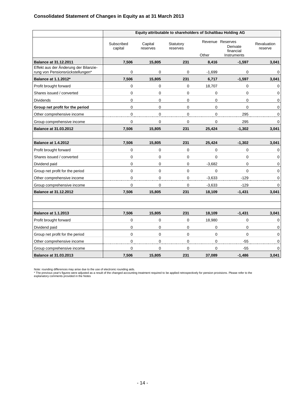#### **Consolidated Statement of Changes in Equity as at 31 March 2013**

|                                                                           | Equity attributable to shareholders of Schaltbau Holding AG |                     |                       |             |                                                          |                        |
|---------------------------------------------------------------------------|-------------------------------------------------------------|---------------------|-----------------------|-------------|----------------------------------------------------------|------------------------|
|                                                                           | Subscribed<br>capital                                       | Capital<br>reserves | Statutory<br>reserves | Other       | Revenue Reserves<br>Derivate<br>financial<br>Instruments | Revaluation<br>reserve |
| <b>Balance at 31.12.2011</b>                                              | 7,506                                                       | 15,805              | 231                   | 8,416       | $-1,597$                                                 | 3,041                  |
| Effekt aus der Änderung der Bilanzie-<br>rung von Pensionsrückstellungen* | 0                                                           | 0                   | $\mathbf 0$           | $-1,699$    | 0                                                        | 0                      |
| <b>Balance at 1.1.2012*</b>                                               | 7,506                                                       | 15,805              | 231                   | 6,717       | $-1,597$                                                 | 3,041                  |
| Profit brought forward                                                    | 0                                                           | 0                   | $\mathbf 0$           | 18,707      | 0                                                        | 0                      |
| Shares issued / converted                                                 | 0                                                           | 0                   | $\mathbf 0$           | $\mathbf 0$ | 0                                                        | 0                      |
| <b>Dividends</b>                                                          | 0                                                           | 0                   | 0                     | $\mathbf 0$ | 0                                                        | 0                      |
| Group net profit for the period                                           | 0                                                           | $\mathbf 0$         | $\mathbf 0$           | $\mathbf 0$ | 0                                                        | 0                      |
| Other comprehensive income                                                | 0                                                           | 0                   | $\mathbf 0$           | $\mathbf 0$ | 295                                                      | 0                      |
| Group comprehensive income                                                | 0                                                           | $\pmb{0}$           | 0                     | $\mathbf 0$ | 295                                                      | 0                      |
| <b>Balance at 31.03.2012</b>                                              | 7,506                                                       | 15,805              | 231                   | 25,424      | $-1,302$                                                 | 3,041                  |
|                                                                           |                                                             |                     |                       |             |                                                          |                        |
| <b>Balance at 1.4.2012</b>                                                | 7,506                                                       | 15,805              | 231                   | 25,424      | $-1,302$                                                 | 3,041                  |
| Profit brought forward                                                    | $\overline{0}$                                              | $\mathbf 0$         | $\Omega$              | $\Omega$    | $\mathbf 0$                                              | 0                      |
| Shares issued / converted                                                 | 0                                                           | 0                   | $\mathbf 0$           | $\mathbf 0$ | 0                                                        | 0                      |
| Dividend paid                                                             | 0                                                           | 0                   | 0                     | $-3,682$    | 0                                                        | 0                      |
| Group net profit for the period                                           | 0                                                           | 0                   | $\Omega$              | $\mathbf 0$ | $\Omega$                                                 | 0                      |
| Other comprehensive income                                                | 0                                                           | $\pmb{0}$           | $\mathbf 0$           | $-3,633$    | $-129$                                                   | 0                      |
| Group comprehensive income                                                | 0                                                           | $\mathbf 0$         | 0                     | $-3,633$    | $-129$                                                   | 0                      |
| <b>Balance at 31.12.2012</b>                                              | 7,506                                                       | 15.805              | 231                   | 18,109      | $-1.431$                                                 | 3.041                  |
|                                                                           |                                                             |                     |                       |             |                                                          |                        |
|                                                                           |                                                             |                     |                       |             |                                                          |                        |
| <b>Balance at 1.1.2013</b>                                                | 7,506                                                       | 15,805              | 231                   | 18,109      | $-1,431$                                                 | 3,041                  |
| Profit brought forward                                                    | 0                                                           | 0                   | $\mathbf 0$           | 18,980      | 0                                                        | 0                      |
| Dividend paid                                                             | 0                                                           | 0                   | $\mathbf 0$           | $\mathbf 0$ | 0                                                        | 0                      |
| Group net profit for the period                                           | 0                                                           | $\pmb{0}$           | $\mathbf 0$           | $\mathbf 0$ | 0                                                        | 0                      |
| Other comprehensive income                                                | 0                                                           | $\mathbf 0$         | $\Omega$              | $\Omega$    | $-55$                                                    | 0                      |
| Group comprehensive income                                                | 0                                                           | 0                   | $\Omega$              | $\Omega$    | $-55$                                                    | $\Omega$               |
| <b>Balance at 31.03.2013</b>                                              | 7,506                                                       | 15,805              | 231                   | 37,089      | $-1,486$                                                 | 3,041                  |

Note: rounding differences may arise due to the use of electronic rounding aids.<br>\* The previous year's figures were adjusted as a result of the changed accounting treatment required to be applied retrospectively for pensio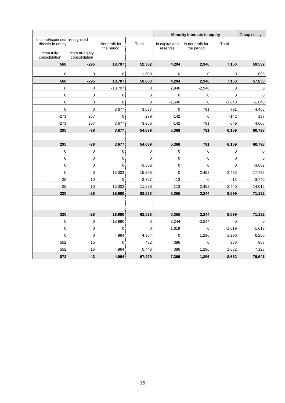|                                                  |                                 |                              |             | Minority interests in equity |                                 |                | Group equity |
|--------------------------------------------------|---------------------------------|------------------------------|-------------|------------------------------|---------------------------------|----------------|--------------|
| Income/expenses recognised<br>directly in equity |                                 | Net profit for<br>the period | Total       | in capital and<br>reserves   | in net profit for<br>the period | Total          |              |
| from fully<br>consolidation                      | from at-equity<br>consolidation |                              |             |                              |                                 |                |              |
| 568                                              | $-295$                          | 18,707                       | 52,382      | 4,204                        | 2,946                           | 7,150          | 59,532       |
| 0                                                | $\mathbf 0$                     | 0                            | $-1,699$    | 0                            | 0                               | 0              | $-1,699$     |
| 568                                              | $-295$                          | 18,707                       | 50,683      | 4,204                        | 2,946                           | 7,150          | 57,833       |
| 0                                                | 0                               | $-18,707$                    | 0           | 2,946                        | $-2,946$                        | 0              | 0            |
| $\pmb{0}$                                        | $\mathbf 0$                     | $\mathbf 0$                  | $\Omega$    | 0                            | 0                               | $\mathbf{0}$   | $\mathbf 0$  |
| $\mathbf 0$                                      | $\mathbf 0$                     | 0                            | $\mathbf 0$ | $-1,640$                     | 0                               | $-1,640$       | $-1,640$     |
| $\pmb{0}$                                        | $\pmb{0}$                       | 3,677                        | 3,677       | $\pmb{0}$                    | 791                             | 791            | 4,468        |
| $-273$                                           | 257                             | $\pmb{0}$                    | 279         | $-142$                       | 0                               | $-142$         | 137          |
| $-273$                                           | 257                             | 3,677                        | 3,956       | $-142$                       | 791                             | 649            | 4,605        |
| 295                                              | $-38$                           | 3,677                        | 54,639      | 5,368                        | 791                             | 6,159          | 60,798       |
|                                                  |                                 |                              |             |                              |                                 |                |              |
| 295                                              | $-38$                           | 3,677                        | 54,639      | 5,368                        | 791                             | 6,159          | 60,798       |
| $\mathbf 0$                                      | $\pmb{0}$                       | 0                            | $\mathbf 0$ | $\mathbf 0$                  | $\mathbf 0$                     | 0              | 0            |
| $\boldsymbol{0}$                                 | $\mathbf 0$                     | $\mathbf 0$                  | $\mathbf 0$ | 0                            | $\mathbf 0$                     | $\overline{0}$ | $\mathbf 0$  |
| $\mathbf 0$                                      | $\mathbf 0$                     | $\mathbf 0$                  | $-3,682$    | 0                            | 0                               | 0              | $-3,682$     |
| $\mathbf 0$                                      | $\mathbf 0$                     | 15,303                       | 15,303      | $\Omega$                     | 2,453                           | 2,453          | 17,756       |
| 25                                               | 10                              | $\mathbf 0$                  | $-3,727$    | $-13$                        | $\mathbf 0$                     | $-13$          | $-3,740$     |
| 25                                               | 10                              | 15,303                       | 11,576      | $-113$                       | 2,453                           | 2,440          | 14,016       |
| 320                                              | $-28$                           | 18,980                       | 62,533      | 5,355                        | 3,244                           | 8,599          | 71,132       |
|                                                  |                                 |                              |             |                              |                                 |                |              |
|                                                  |                                 |                              |             |                              |                                 |                |              |
| 320                                              | $-28$                           | 18,980                       | 62,533      | 5,355                        | 3,244                           | 8,599          | 71,132       |
| $\mathbf 0$                                      | $\mathbf 0$                     | $-18,980$                    | $\mathbf 0$ | 3,244                        | $-3,244$                        | $\mathbf 0$    | 0            |
| $\mathbf 0$                                      | $\mathbf 0$                     | $\mathbf 0$                  | $\mathbf 0$ | $-1,619$                     | 0                               | $-1,619$       | $-1,619$     |
| $\pmb{0}$                                        | $\mathbf 0$                     | 4,964                        | 4,964       | $\mathbf 0$                  | 1,296                           | 1,296          | 6,260        |
| 552                                              | -15                             | 0                            | 482         | 386                          | 0                               | 386            | 868          |
| 552                                              | $-15$                           | 4,964                        | 5,446       | 386                          | 1,296                           | 1,682          | 7,128        |
| 872                                              | $-43$                           | 4,964                        | 67,979      | 7,366                        | 1,296                           | 8,662          | 76,641       |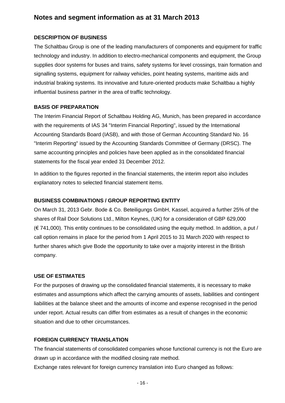# **Notes and segment information as at 31 March 2013**

## **DESCRIPTION OF BUSINESS**

The Schaltbau Group is one of the leading manufacturers of components and equipment for traffic technology and industry. In addition to electro-mechanical components and equipment, the Group supplies door systems for buses and trains, safety systems for level crossings, train formation and signalling systems, equipment for railway vehicles, point heating systems, maritime aids and industrial braking systems. Its innovative and future-oriented products make Schaltbau a highly influential business partner in the area of traffic technology.

#### **BASIS OF PREPARATION**

The Interim Financial Report of Schaltbau Holding AG, Munich, has been prepared in accordance with the requirements of IAS 34 "Interim Financial Reporting", issued by the International Accounting Standards Board (IASB), and with those of German Accounting Standard No. 16 "Interim Reporting" issued by the Accounting Standards Committee of Germany (DRSC). The same accounting principles and policies have been applied as in the consolidated financial statements for the fiscal year ended 31 December 2012.

In addition to the figures reported in the financial statements, the interim report also includes explanatory notes to selected financial statement items.

#### **BUSINESS COMBINATIONS / GROUP REPORTING ENTITY**

On March 31, 2013 Gebr. Bode & Co. Beteiligungs GmbH, Kassel, acquired a further 25% of the shares of Rail Door Solutions Ltd., Milton Keynes, (UK) for a consideration of GBP 629,000  $(\text{€ } 741.000)$ . This entity continues to be consolidated using the equity method. In addition, a put / call option remains in place for the period from 1 April 2015 to 31 March 2020 with respect to further shares which give Bode the opportunity to take over a majority interest in the British company.

#### **USE OF ESTIMATES**

For the purposes of drawing up the consolidated financial statements, it is necessary to make estimates and assumptions which affect the carrying amounts of assets, liabilities and contingent liabilities at the balance sheet and the amounts of income and expense recognised in the period under report. Actual results can differ from estimates as a result of changes in the economic situation and due to other circumstances.

#### **FOREIGN CURRENCY TRANSLATION**

The financial statements of consolidated companies whose functional currency is not the Euro are drawn up in accordance with the modified closing rate method.

Exchange rates relevant for foreign currency translation into Euro changed as follows: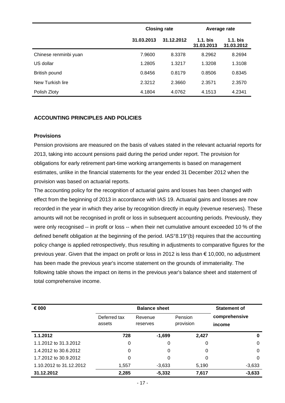|                       |            | <b>Closing rate</b> | Average rate             |                          |  |
|-----------------------|------------|---------------------|--------------------------|--------------------------|--|
|                       | 31.03.2013 | 31.12.2012          | $1.1.$ bis<br>31.03.2013 | $1.1.$ bis<br>31.03.2012 |  |
| Chinese renminbi yuan | 7.9600     | 8.3378              | 8.2962                   | 8.2694                   |  |
| US dollar             | 1.2805     | 1.3217              | 1.3208                   | 1.3108                   |  |
| British pound         | 0.8456     | 0.8179              | 0.8506                   | 0.8345                   |  |
| New Turkish lire      | 2.3212     | 2.3660              | 2.3571                   | 2.3570                   |  |
| Polish Zloty          | 4.1804     | 4.0762              | 4.1513                   | 4.2341                   |  |

## **ACCOUNTING PRINCIPLES AND POLICIES**

# **Provisions**

Pension provisions are measured on the basis of values stated in the relevant actuarial reports for 2013, taking into account pensions paid during the period under report. The provision for obligations for early retirement part-time working arrangements is based on management estimates, unlike in the financial statements for the year ended 31 December 2012 when the provision was based on actuarial reports.

The accounting policy for the recognition of actuarial gains and losses has been changed with effect from the beginning of 2013 in accordance with IAS 19. Actuarial gains and losses are now recorded in the year in which they arise by recognition directly in equity (revenue reserves). These amounts will not be recognised in profit or loss in subsequent accounting periods. Previously, they were only recognised -- in profit or loss -- when their net cumulative amount exceeded 10 % of the defined benefit obligation at the beginning of the period. IAS°8.19°(b) requires that the accounting policy change is applied retrospectively, thus resulting in adjustments to comparative figures for the previous year. Given that the impact on profit or loss in 2012 is less than € 10,000, no adjustment has been made the previous year's income statement on the grounds of immateriality. The following table shows the impact on items in the previous year's balance sheet and statement of total comprehensive income.

| € 000                   | <b>Balance sheet</b> |          |           | <b>Statement of</b> |
|-------------------------|----------------------|----------|-----------|---------------------|
|                         | Deferred tax         | Revenue  | Pension   | comprehensive       |
|                         | assets               | reserves | provision | income              |
| 1.1.2012                | 728                  | $-1,699$ | 2,427     | 0                   |
| 1.1.2012 to 31.3.2012   | 0                    | 0        | 0         | 0                   |
| 1.4.2012 to 30.6.2012   | 0                    | 0        | 0         | $\Omega$            |
| 1.7.2012 to 30.9.2012   | 0                    | 0        | 0         | $\Omega$            |
| 1.10.2012 to 31.12.2012 | 1,557                | $-3,633$ | 5,190     | $-3,633$            |
| 31.12.2012              | 2,285                | $-5,332$ | 7,617     | $-3,633$            |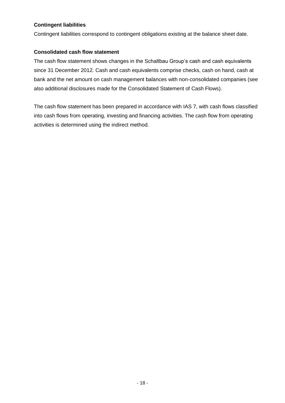# **Contingent liabilities**

Contingent liabilities correspond to contingent obligations existing at the balance sheet date.

# **Consolidated cash flow statement**

The cash flow statement shows changes in the Schaltbau Group's cash and cash equivalents since 31 December 2012. Cash and cash equivalents comprise checks, cash on hand, cash at bank and the net amount on cash management balances with non-consolidated companies (see also additional disclosures made for the Consolidated Statement of Cash Flows).

The cash flow statement has been prepared in accordance with IAS 7, with cash flows classified into cash flows from operating, investing and financing activities. The cash flow from operating activities is determined using the indirect method.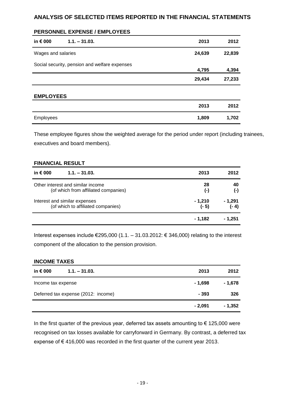# **ANALYSIS OF SELECTED ITEMS REPORTED IN THE FINANCIAL STATEMENTS**

#### **PERSONNEL EXPENSE / EMPLOYEES**

| in € 000           | $1.1 - 31.03.$                                | 2013   | 2012   |
|--------------------|-----------------------------------------------|--------|--------|
| Wages and salaries |                                               | 24,639 | 22,839 |
|                    | Social security, pension and welfare expenses | 4,795  | 4,394  |
|                    |                                               | 29,434 | 27,233 |
| <b>EMPLOYEES</b>   |                                               |        |        |
|                    |                                               | 2013   | 2012   |
| Employees          |                                               | 1,809  | 1,702  |

These employee figures show the weighted average for the period under report (including trainees, executives and board members).

#### **FINANCIAL RESULT**

| in $\epsilon$ 000<br>$1.1 - 31.03$ . | 2013      | 2012    |
|--------------------------------------|-----------|---------|
| Other interest and similar income    | 28        | 40      |
| (of which from affiliated companies) | $(\cdot)$ | (-)     |
| Interest and similar expenses        | $-1,210$  | - 1,291 |
| (of which to affiliated companies)   | $(-5)$    | (- 4)   |
|                                      | - 1.182   | - 1.251 |

Interest expenses include €295,000 (1.1. – 31.03.2012: € 346,000) relating to the interest component of the allocation to the pension provision.

#### **INCOME TAXES**

| in € 000<br>$1.1 - 31.03$ .         | 2013    | 2012    |
|-------------------------------------|---------|---------|
| Income tax expense                  | - 1,698 | - 1,678 |
| Deferred tax expense (2012: income) | - 393   | 326     |
|                                     | - 2,091 | - 1,352 |

In the first quarter of the previous year, deferred tax assets amounting to  $\epsilon$  125,000 were recognised on tax losses available for carryforward in Germany. By contrast, a deferred tax expense of € 416,000 was recorded in the first quarter of the current year 2013.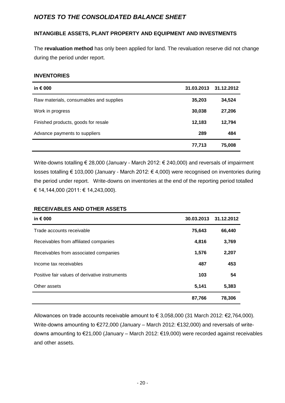# *NOTES TO THE CONSOLIDATED BALANCE SHEET*

# **INTANGIBLE ASSETS, PLANT PROPERTY AND EQUIPMENT AND INVESTMENTS**

The **revaluation method** has only been applied for land. The revaluation reserve did not change during the period under report.

#### **INVENTORIES**

| in $\epsilon$ 000                       | 31.03.2013 | 31.12.2012 |
|-----------------------------------------|------------|------------|
| Raw materials, consumables and supplies | 35,203     | 34,524     |
| Work in progress                        | 30,038     | 27,206     |
| Finished products, goods for resale     | 12,183     | 12,794     |
| Advance payments to suppliers           | 289        | 484        |
|                                         | 77,713     | 75,008     |

Write-downs totalling € 28,000 (January - March 2012: € 240,000) and reversals of impairment losses totalling € 103,000 (January - March 2012: € 4,000) were recognised on inventories during the period under report. Write-downs on inventories at the end of the reporting period totalled € 14,144,000 (2011: € 14,243,000).

#### **RECEIVABLES AND OTHER ASSETS**

| in $\epsilon$ 000                              | 30.03.2013 | 31.12.2012 |
|------------------------------------------------|------------|------------|
| Trade accounts receivable                      | 75,643     | 66,440     |
| Receivables from affiliated companies          | 4,816      | 3,769      |
| Receivables from associated companies          | 1,576      | 2,207      |
| Income tax receivables                         | 487        | 453        |
| Positive fair values of derivative instruments | 103        | 54         |
| Other assets                                   | 5,141      | 5,383      |
|                                                | 87,766     | 78,306     |

Allowances on trade accounts receivable amount to € 3,058,000 (31 March 2012: €2,764,000). Write-downs amounting to €272,000 (January – March 2012: €132,000) and reversals of writedowns amounting to €21,000 (January – March 2012: €19,000) were recorded against receivables and other assets.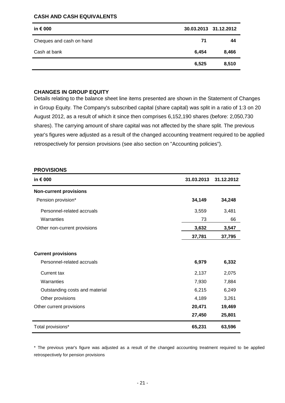#### **CASH AND CASH EQUIVALENTS**

| in $\epsilon$ 000        |       | 30.03.2013 31.12.2012 |
|--------------------------|-------|-----------------------|
| Cheques and cash on hand | 71    | 44                    |
| Cash at bank             | 6,454 | 8,466                 |
|                          | 6,525 | 8,510                 |

#### **CHANGES IN GROUP EQUITY**

Details relating to the balance sheet line items presented are shown in the Statement of Changes in Group Equity. The Company's subscribed capital (share capital) was split in a ratio of 1:3 on 20 August 2012, as a result of which it since then comprises 6,152,190 shares (before: 2,050,730 shares). The carrying amount of share capital was not affected by the share split. The previous year's figures were adjusted as a result of the changed accounting treatment required to be applied retrospectively for pension provisions (see also section on "Accounting policies").

| <b>PROVISIONS</b>              |            |            |
|--------------------------------|------------|------------|
| in $\epsilon$ 000              | 31.03.2013 | 31.12.2012 |
| <b>Non-current provisions</b>  |            |            |
| Pension provision*             | 34,149     | 34,248     |
| Personnel-related accruals     | 3,559      | 3,481      |
| Warranties                     | 73         | 66         |
| Other non-current provisions   | 3,632      | 3,547      |
|                                | 37,781     | 37,795     |
| <b>Current provisions</b>      |            |            |
| Personnel-related accruals     | 6,979      | 6,332      |
| <b>Current tax</b>             | 2,137      | 2,075      |
| Warranties                     | 7,930      | 7,884      |
| Outstanding costs and material | 6,215      | 6,249      |
| Other provisions               | 4,189      | 3,261      |
| Other current provisions       | 20,471     | 19,469     |
|                                | 27,450     | 25,801     |
| Total provisions*              | 65,231     | 63,596     |

\* The previous year's figure was adjusted as a result of the changed accounting treatment required to be applied retrospectively for pension provisions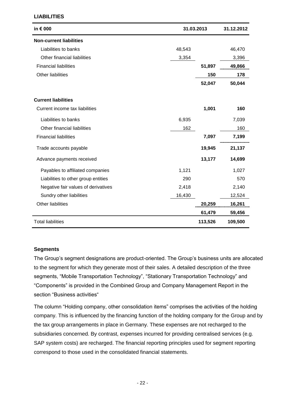| in € 000                            |        | 31.03.2013 | 31.12.2012 |
|-------------------------------------|--------|------------|------------|
| <b>Non-current liabilities</b>      |        |            |            |
| Liabilities to banks                | 48,543 |            | 46,470     |
| Other financial liabilities         | 3,354  |            | 3,396      |
| <b>Financial liabilities</b>        |        | 51,897     | 49,866     |
| Other liabilities                   |        | 150        | 178        |
|                                     |        | 52,047     | 50,044     |
| <b>Current liabilities</b>          |        |            |            |
| Current income tax liabilities      |        | 1,001      | 160        |
| Liabilities to banks                | 6,935  |            | 7,039      |
| Other financial liabilities         | 162    |            | 160        |
| <b>Financial liabilities</b>        |        | 7,097      | 7,199      |
| Trade accounts payable              |        | 19,945     | 21,137     |
| Advance payments received           |        | 13,177     | 14,699     |
| Payables to affiliated companies    | 1,121  |            | 1,027      |
| Liabilities to other group entities | 290    |            | 570        |
| Negative fair values of derivatives | 2,418  |            | 2,140      |
| Sundry other liabilities            | 16,430 |            | 12,524     |
| <b>Other liabilities</b>            |        | 20,259     | 16,261     |
|                                     |        | 61,479     | 59,456     |
| <b>Total liabilities</b>            |        | 113,526    | 109,500    |

#### **Segments**

The Group's segment designations are product-oriented. The Group's business units are allocated to the segment for which they generate most of their sales. A detailed description of the three segments, "Mobile Transportation Technology", "Stationary Transportation Technology" and "Components" is provided in the Combined Group and Company Management Report in the section "Business activities"

The column "Holding company, other consolidation items" comprises the activities of the holding company. This is influenced by the financing function of the holding company for the Group and by the tax group arrangements in place in Germany. These expenses are not recharged to the subsidiaries concerned. By contrast, expenses incurred for providing centralised services (e.g. SAP system costs) are recharged. The financial reporting principles used for segment reporting correspond to those used in the consolidated financial statements.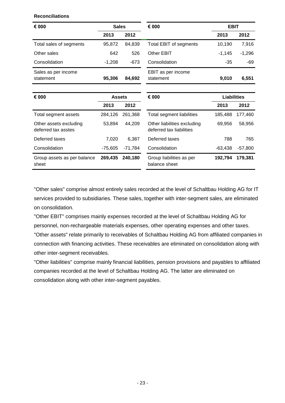**Reconciliations**

|          |        |                                 | <b>EBIT</b> |          |  |
|----------|--------|---------------------------------|-------------|----------|--|
| 2013     | 2012   |                                 | 2013        | 2012     |  |
| 95.872   | 84.839 | Total EBIT of segments          | 10.190      | 7,916    |  |
| 642      | 526    | Other EBIT                      | $-1.145$    | $-1,296$ |  |
| $-1.208$ | $-673$ | Consolidation                   | $-35$       | -69      |  |
| 95,306   | 84,692 | EBIT as per income<br>statement | 9,010       | 6,551    |  |
|          |        |                                 |             |          |  |

| € 000<br><b>Assets</b>                        |           |           | € 000                                                   | <b>Liabilities</b> |           |  |
|-----------------------------------------------|-----------|-----------|---------------------------------------------------------|--------------------|-----------|--|
|                                               | 2013      | 2012      |                                                         | 2013               | 2012      |  |
| Total segment assets                          | 284.126   | 261.368   | Total segment liabilities                               | 185.488            | 177,460   |  |
| Other assets excluding<br>deferred tax asstes | 53.894    | 44.209    | Other liabilities excluding<br>deferred tax liabilities | 69.956             | 58,956    |  |
| Deferred taxes                                | 7.020     | 6.387     | Deferred taxes                                          | 788                | 765       |  |
| Consolidation                                 | $-75.605$ | $-71.784$ | Consolidation                                           | $-63.438$          | $-57,800$ |  |
| Group assets as per balance<br>sheet          | 269.435   | 240.180   | Group liabilities as per<br>balance sheet               | 192.794            | 179.381   |  |

"Other sales" comprise almost entirely sales recorded at the level of Schaltbau Holding AG for IT services provided to subsidiaries. These sales, together with inter-segment sales, are eliminated on consolidation.

"Other EBIT" comprises mainly expenses recorded at the level of Schaltbau Holding AG for personnel, non-rechargeable materials expenses, other operating expenses and other taxes. "Other assets" relate primarily to receivables of Schaltbau Holding AG from affiliated companies in connection with financing activities. These receivables are eliminated on consolidation along with other inter-segment receivables.

"Other liabilities" comprise mainly financial liabilities, pension provisions and payables to affiliated companies recorded at the level of Schaltbau Holding AG. The latter are eliminated on consolidation along with other inter-segment payables.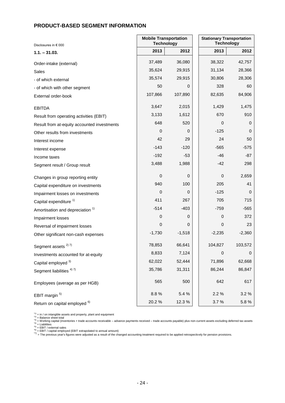## **PRODUCT-BASED SEGMENT INFORMATION**

| Disclosures in € 000                        | <b>Mobile Transportation</b><br><b>Technology</b> | <b>Stationary Transportation</b><br><b>Technology</b> |          |             |
|---------------------------------------------|---------------------------------------------------|-------------------------------------------------------|----------|-------------|
| $1.1 - 31.03.$                              | 2013                                              | 2012                                                  | 2013     | 2012        |
| Order-intake (external)                     | 37,489                                            | 36,080                                                | 38,322   | 42,757      |
| Sales                                       | 35,624                                            | 29,915                                                | 31,134   | 28,366      |
| - of which external                         | 35,574                                            | 29,915                                                | 30,806   | 28,306      |
| - of which with other segment               | 50                                                | 0                                                     | 328      | 60          |
| External order-book                         | 107,866                                           | 107,890                                               | 82,635   | 84,906      |
| <b>EBITDA</b>                               | 3,647                                             | 2,015                                                 | 1,429    | 1,475       |
| Result from operating activities (EBIT)     | 3,133                                             | 1,612                                                 | 670      | 910         |
| Result from at-equity accounted investments | 648                                               | 520                                                   | 0        | 0           |
| Other results from investments              | 0                                                 | 0                                                     | $-125$   | 0           |
| Interest income                             | 42                                                | 29                                                    | 24       | 50          |
| Interest expense                            | -143                                              | $-120$                                                | $-565$   | $-575$      |
| Income taxes                                | $-192$                                            | $-53$                                                 | $-46$    | $-87$       |
| Segment result / Group result               | 3,488                                             | 1,988                                                 | $-42$    | 298         |
| Changes in group reporting entity           | $\boldsymbol{0}$                                  | 0                                                     | 0        | 2,659       |
| Capital expenditure on investments          | 940                                               | 100                                                   | 205      | 41          |
| Impairment losses on investments            | $\mathbf 0$                                       | 0                                                     | $-125$   | 0           |
| Capital expenditure <sup>1)</sup>           | 411                                               | 267                                                   | 705      | 715         |
| Amortisation and depreciation <sup>1)</sup> | $-514$                                            | $-403$                                                | $-759$   | $-565$      |
| Impairment losses                           | 0                                                 | 0                                                     | 0        | 372         |
| Reversal of impairment losses               | $\mathbf 0$                                       | 0                                                     | 0        | 23          |
| Other significant non-cash expenses         | $-1,730$                                          | $-1,518$                                              | $-2,235$ | $-2,360$    |
| Segment assets <sup>2)7)</sup>              | 78,853                                            | 66,641                                                | 104,827  | 103,572     |
| Investments accounted for at-equity         | 8,833                                             | 7,124                                                 | 0        | $\mathbf 0$ |
| Capital employed 3)                         | 62,022                                            | 52,444                                                | 71,896   | 62,668      |
| Segment liabilities <sup>4)7)</sup>         | 35,786                                            | 31,311                                                | 86,244   | 86,847      |
| Employees (average as per HGB)              | 565                                               | 500                                                   | 642      | 617         |
| EBIT margin <sup>5)</sup>                   | 8.8%                                              | 5.4 %                                                 | 2.2 %    | 3.2%        |
| Return on capital employed <sup>6)</sup>    | 20.2%                                             | 12.3%                                                 | 3.7%     | 5.8%        |

[1] = in / on intangible assets and property, plant and equipment<br><sup>-2)</sup> = Balance sheet total<br><sup>-3)</sup> = Working capital (inventories + trade accounts receivable – advance payments received – trade accounts payable) plus non-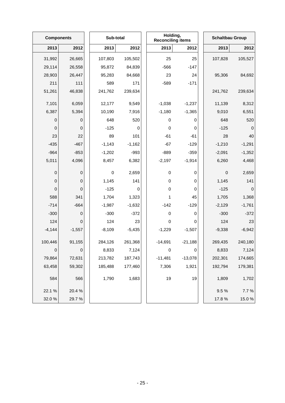|             | <b>Components</b> |  | Sub-total |          | Holding,<br><b>Reconciling items</b> |           | <b>Schaltbau Group</b> |             |
|-------------|-------------------|--|-----------|----------|--------------------------------------|-----------|------------------------|-------------|
| 2013        | 2012              |  | 2013      | 2012     | 2013                                 | 2012      | 2013                   | 2012        |
| 31,992      | 26,665            |  | 107,803   | 105,502  | 25                                   | 25        | 107,828                | 105,527     |
| 29,114      | 26,558            |  | 95,872    | 84,839   | $-566$                               | $-147$    |                        |             |
| 28,903      | 26,447            |  | 95,283    | 84,668   | 23                                   | 24        | 95,306                 | 84,692      |
| 211         | 111               |  | 589       | 171      | $-589$                               | $-171$    |                        |             |
| 51,261      | 46,838            |  | 241,762   | 239,634  |                                      |           | 241,762                | 239,634     |
| 7,101       | 6,059             |  | 12,177    | 9,549    | $-1,038$                             | $-1,237$  | 11,139                 | 8,312       |
| 6,387       | 5,394             |  | 10,190    | 7,916    | $-1,180$                             | $-1,365$  | 9,010                  | 6,551       |
| 0           | 0                 |  | 648       | 520      | 0                                    | 0         | 648                    | 520         |
| 0           | $\mathbf 0$       |  | $-125$    | 0        | $\pmb{0}$                            | 0         | $-125$                 | $\mathbf 0$ |
| 23          | 22                |  | 89        | 101      | $-61$                                | $-61$     | 28                     | 40          |
| $-435$      | $-467$            |  | $-1,143$  | $-1,162$ | $-67$                                | $-129$    | $-1,210$               | $-1,291$    |
| $-964$      | $-853$            |  | $-1,202$  | $-993$   | $-889$                               | $-359$    | $-2,091$               | $-1,352$    |
| 5,011       | 4,096             |  | 8,457     | 6,382    | $-2,197$                             | $-1,914$  | 6,260                  | 4,468       |
| 0           | 0                 |  | $\pmb{0}$ | 2,659    | 0                                    | 0         | 0                      | 2,659       |
| $\mathbf 0$ | $\mathbf 0$       |  | 1,145     | 141      | $\pmb{0}$                            | 0         | 1,145                  | 141         |
| $\mathbf 0$ | 0                 |  | $-125$    | 0        | $\pmb{0}$                            | 0         | $-125$                 | $\mathbf 0$ |
| 588         | 341               |  | 1,704     | 1,323    | 1                                    | 45        | 1,705                  | 1,368       |
| $-714$      | $-664$            |  | $-1,987$  | $-1,632$ | $-142$                               | $-129$    | $-2,129$               | $-1,761$    |
| $-300$      | 0                 |  | $-300$    | $-372$   | $\pmb{0}$                            | 0         | $-300$                 | $-372$      |
| 124         | 0                 |  | 124       | 23       | 0                                    | 0         | 124                    | 23          |
| $-4,144$    | $-1,557$          |  | $-8,109$  | $-5,435$ | $-1,229$                             | $-1,507$  | $-9,338$               | $-6,942$    |
| 100,446     | 91,155            |  | 284,126   | 261,368  | $-14,691$                            | $-21,188$ | 269,435                | 240,180     |
| $\mathbf 0$ | $\mathbf 0$       |  | 8,833     | 7,124    | $\pmb{0}$                            | 0         | 8,833                  | 7,124       |
| 79,864      | 72,631            |  | 213,782   | 187,743  | $-11,481$                            | $-13,078$ | 202,301                | 174,665     |
| 63,458      | 59,302            |  | 185,488   | 177,460  | 7,306                                | 1,921     | 192,794                | 179,381     |
| 584         | 566               |  | 1,790     | 1,683    | 19                                   | 19        | 1,809                  | 1,702       |
| 22.1 %      | 20.4 %            |  |           |          |                                      |           | 9.5%                   | 7.7 %       |
| 32.0%       | 29.7%             |  |           |          |                                      |           | 17.8%                  | 15.0%       |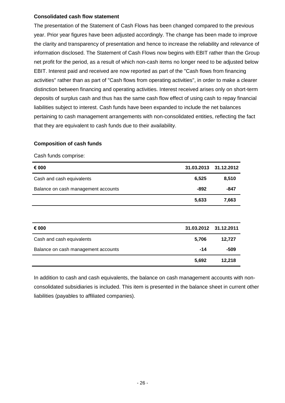## **Consolidated cash flow statement**

The presentation of the Statement of Cash Flows has been changed compared to the previous year. Prior year figures have been adjusted accordingly. The change has been made to improve the clarity and transparency of presentation and hence to increase the reliability and relevance of information disclosed. The Statement of Cash Flows now begins with EBIT rather than the Group net profit for the period, as a result of which non-cash items no longer need to be adjusted below EBIT. Interest paid and received are now reported as part of the "Cash flows from financing activities" rather than as part of "Cash flows from operating activities", in order to make a clearer distinction between financing and operating activities. Interest received arises only on short-term deposits of surplus cash and thus has the same cash flow effect of using cash to repay financial liabilities subject to interest. Cash funds have been expanded to include the net balances pertaining to cash management arrangements with non-consolidated entities, reflecting the fact that they are equivalent to cash funds due to their availability.

#### **Composition of cash funds**

#### Cash funds comprise:

| € 000                               | 31.03.2013 | 31.12.2012 |
|-------------------------------------|------------|------------|
| Cash and cash equivalents           | 6,525      | 8,510      |
| Balance on cash management accounts | -892       | -847       |
|                                     | 5,633      | 7,663      |
|                                     |            |            |
| € 000                               | 31.03.2012 | 31.12.2011 |
| Cash and cash equivalents           | 5,706      | 12,727     |
| Balance on cash management accounts | $-14$      | $-509$     |
|                                     | 5,692      | 12,218     |

In addition to cash and cash equivalents, the balance on cash management accounts with nonconsolidated subsidiaries is included. This item is presented in the balance sheet in current other liabilities (payables to affiliated companies).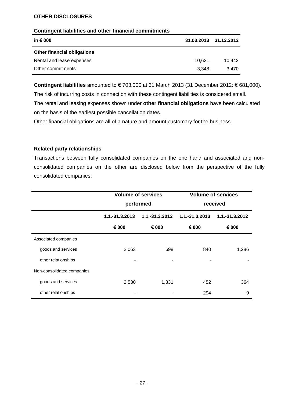#### **OTHER DISCLOSURES**

#### **Contingent liabilities and other financial commitments**

| in € 000                           | 31.03.2013 31.12.2012 |        |
|------------------------------------|-----------------------|--------|
| <b>Other financial obligations</b> |                       |        |
| Rental and lease expenses          | 10.621                | 10.442 |
| Other commitments                  | 3.348                 | 3.470  |

**Contingent liabilities** amounted to € 703,000 at 31 March 2013 (31 December 2012: € 681,000).

The risk of incurring costs in connection with these contingent liabilities is considered small.

The rental and leasing expenses shown under **other financial obligations** have been calculated on the basis of the earliest possible cancellation dates.

Other financial obligations are all of a nature and amount customary for the business.

#### **Related party relationships**

Transactions between fully consolidated companies on the one hand and associated and nonconsolidated companies on the other are disclosed below from the perspective of the fully consolidated companies:

|                            | <b>Volume of services</b><br>performed |                | <b>Volume of services</b><br>received |                |
|----------------------------|----------------------------------------|----------------|---------------------------------------|----------------|
|                            |                                        |                |                                       |                |
|                            | 1.1.-31.3.2013                         | 1.1.-31.3.2012 | 1.1.-31.3.2013                        | 1.1.-31.3.2012 |
|                            | € 000                                  | € 000          | € 000                                 | € 000          |
| Associated companies       |                                        |                |                                       |                |
| goods and services         | 2,063                                  | 698            | 840                                   | 1,286          |
| other relationships        |                                        |                |                                       |                |
| Non-consolidated companies |                                        |                |                                       |                |
| goods and services         | 2,530                                  | 1,331          | 452                                   | 364            |
| other relationships        |                                        |                | 294                                   | 9              |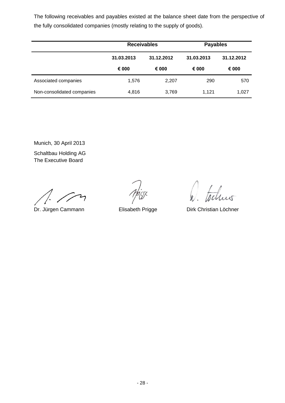The following receivables and payables existed at the balance sheet date from the perspective of the fully consolidated companies (mostly relating to the supply of goods).

|                            | <b>Receivables</b> |            | <b>Payables</b> |            |
|----------------------------|--------------------|------------|-----------------|------------|
|                            | 31.03.2013         | 31.12.2012 | 31.03.2013      | 31.12.2012 |
|                            | € 000              | € 000      | € 000           | € 000      |
| Associated companies       | 1,576              | 2,207      | 290             | 570        |
| Non-consolidated companies | 4,816              | 3,769      | 1.121           | 1,027      |

Munich, 30 April 2013 Schaltbau Holding AG The Executive Board

Dr. Jürgen Cammann Elisabeth Prigge Dirk Christian Löchner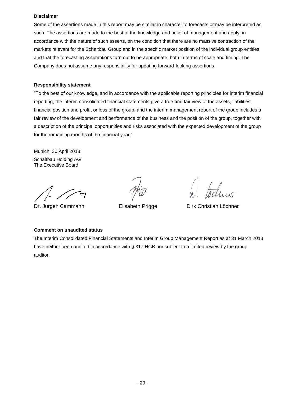#### **Disclaimer**

Some of the assertions made in this report may be similar in character to forecasts or may be interpreted as such. The assertions are made to the best of the knowledge and belief of management and apply, in accordance with the nature of such asserts, on the condition that there are no massive contraction of the markets relevant for the Schaltbau Group and in the specific market position of the individual group entities and that the forecasting assumptions turn out to be appropriate, both in terms of scale and timing. The Company does not assume any responsibility for updating forward-looking assertions.

#### **Responsibility statement**

"To the best of our knowledge, and in accordance with the applicable reporting principles for interim financial reporting, the interim consolidated financial statements give a true and fair view of the assets, liabilities, financial position and profi.t or loss of the group, and the interim management report of the group includes a fair review of the development and performance of the business and the position of the group, together with a description of the principal opportunities and risks associated with the expected development of the group for the remaining months of the financial year."

Munich, 30 April 2013 Schaltbau Holding AG The Executive Board

chus

Dr. Jürgen Cammann **Elisabeth Prigge** Dirk Christian Löchner

#### **Comment on unaudited status**

The Interim Consolidated Financial Statements and Interim Group Management Report as at 31 March 2013 have neither been audited in accordance with § 317 HGB nor subject to a limited review by the group auditor.